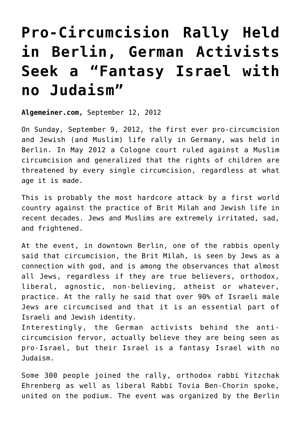## **[Pro-Circumcision Rally Held](https://www.clemensheni.net/pro-circumcision-rally-held-in-berlin-german-activists-seek-a-fantasy-israel-with-no-judaism/) [in Berlin, German Activists](https://www.clemensheni.net/pro-circumcision-rally-held-in-berlin-german-activists-seek-a-fantasy-israel-with-no-judaism/) [Seek a "Fantasy Israel with](https://www.clemensheni.net/pro-circumcision-rally-held-in-berlin-german-activists-seek-a-fantasy-israel-with-no-judaism/) [no Judaism"](https://www.clemensheni.net/pro-circumcision-rally-held-in-berlin-german-activists-seek-a-fantasy-israel-with-no-judaism/)**

**[Algemeiner.com,](http://www.algemeiner.com/2012/09/12/pro-circumcision-rally-held-in-berlin-german-activists-seek-a-fantasy-israel-with-no-judaism/)** September 12, 2012

On Sunday, September 9, 2012, the first ever pro-circumcision and Jewish (and Muslim) life rally in Germany, was held in Berlin. In May 2012 a Cologne court ruled against a Muslim circumcision and generalized that the rights of children are threatened by every single circumcision, regardless at what age it is made.

This is probably the most hardcore attack by a first world country against the practice of Brit Milah and Jewish life in recent decades. Jews and Muslims are extremely irritated, sad, and frightened.

At the event, in downtown Berlin, one of the rabbis openly said that circumcision, the Brit Milah, is seen by Jews as a connection with god, and is among the observances that almost all Jews, regardless if they are true believers, orthodox, liberal, agnostic, non-believing, atheist or whatever, practice. At the rally he said that over 90% of Israeli male Jews are circumcised and that it is an essential part of Israeli and Jewish identity.

Interestingly, the German activists behind the anticircumcision fervor, actually believe they are being seen as pro-Israel, but their Israel is a fantasy Israel with no Judaism.

Some 300 people joined the rally, orthodox rabbi Yitzchak Ehrenberg as well as liberal Rabbi Tovia Ben-Chorin spoke, united on the podium. The event was organized by the Berlin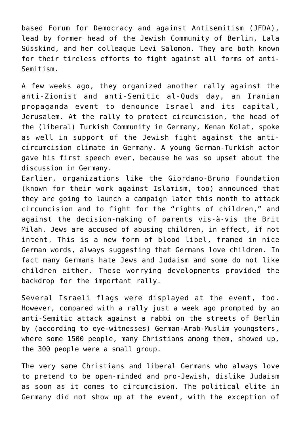based Forum for Democracy and against Antisemitism (JFDA), lead by former head of the Jewish Community of Berlin, Lala Süsskind, and her colleague Levi Salomon. They are both known for their tireless efforts to fight against all forms of anti-Semitism.

A few weeks ago, they organized another rally against the anti-Zionist and anti-Semitic al-Quds day, an Iranian propaganda event to denounce Israel and its capital, Jerusalem. At the rally to protect circumcision, the head of the (liberal) Turkish Community in Germany, Kenan Kolat, spoke as well in support of the Jewish fight against the anticircumcision climate in Germany. A young German-Turkish actor gave his first speech ever, because he was so upset about the discussion in Germany.

Earlier, organizations like the Giordano-Bruno Foundation (known for their work against Islamism, too) announced that they are going to launch a campaign later this month to attack circumcision and to fight for the "rights of children," and against the decision-making of parents vis-à-vis the Brit Milah. Jews are accused of abusing children, in effect, if not intent. This is a new form of blood libel, framed in nice German words, always suggesting that Germans love children. In fact many Germans hate Jews and Judaism and some do not like children either. These worrying developments provided the backdrop for the important rally.

Several Israeli flags were displayed at the event, too. However, compared with a rally just a week ago prompted by an anti-Semitic attack against a rabbi on the streets of Berlin by (according to eye-witnesses) German-Arab-Muslim youngsters, where some 1500 people, many Christians among them, showed up, the 300 people were a small group.

The very same Christians and liberal Germans who always love to pretend to be open-minded and pro-Jewish, dislike Judaism as soon as it comes to circumcision. The political elite in Germany did not show up at the event, with the exception of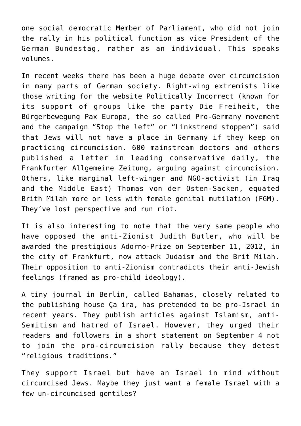one social democratic Member of Parliament, who did not join the rally in his political function as vice President of the German Bundestag, rather as an individual. This speaks volumes.

In recent weeks there has been a huge debate over circumcision in many parts of German society. Right-wing extremists like those writing for the website Politically Incorrect (known for its support of groups like the party Die Freiheit, the Bürgerbewegung Pax Europa, the so called Pro-Germany movement and the campaign "Stop the left" or "Linkstrend stoppen") said that Jews will not have a place in Germany if they keep on practicing circumcision. 600 mainstream doctors and others published a letter in leading conservative daily, the Frankfurter Allgemeine Zeitung, arguing against circumcision. Others, like marginal left-winger and NGO-activist (in Iraq and the Middle East) Thomas von der Osten-Sacken, equated Brith Milah more or less with female genital mutilation (FGM). They've lost perspective and run riot.

It is also interesting to note that the very same people who have opposed the anti-Zionist Judith Butler, who will be awarded the prestigious Adorno-Prize on September 11, 2012, in the city of Frankfurt, now attack Judaism and the Brit Milah. Their opposition to anti-Zionism contradicts their anti-Jewish feelings (framed as pro-child ideology).

A tiny journal in Berlin, called Bahamas, closely related to the publishing house Ça ira, has pretended to be pro-Israel in recent years. They publish articles against Islamism, anti-Semitism and hatred of Israel. However, they urged their readers and followers in a short statement on September 4 not to join the pro-circumcision rally because they detest "religious traditions."

They support Israel but have an Israel in mind without circumcised Jews. Maybe they just want a female Israel with a few un-circumcised gentiles?